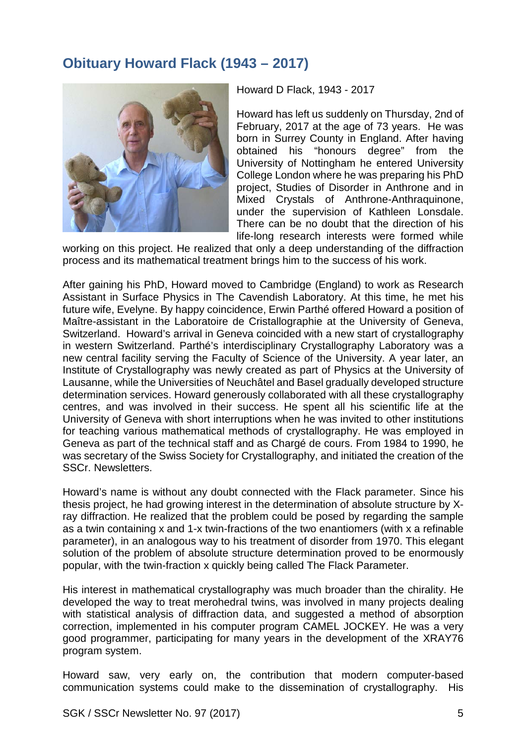## **Obituary Howard Flack (1943 – 2017)**



Howard D Flack, 1943 - 2017

Howard has left us suddenly on Thursday, 2nd of February, 2017 at the age of 73 years. He was born in Surrey County in England. After having<br>obtained his "honours degree" from the "honours degree" from the University of Nottingham he entered University College London where he was preparing his PhD project, Studies of Disorder in Anthrone and in Mixed Crystals of Anthrone-Anthraquinone, under the supervision of Kathleen Lonsdale. There can be no doubt that the direction of his life-long research interests were formed while

working on this project. He realized that only a deep understanding of the diffraction process and its mathematical treatment brings him to the success of his work.

After gaining his PhD, Howard moved to Cambridge (England) to work as Research Assistant in Surface Physics in The Cavendish Laboratory. At this time, he met his future wife, Evelyne. By happy coincidence, Erwin Parthé offered Howard a position of Maître-assistant in the Laboratoire de Cristallographie at the University of Geneva, Switzerland. Howard's arrival in Geneva coincided with a new start of crystallography in western Switzerland. Parthé's interdisciplinary Crystallography Laboratory was a new central facility serving the Faculty of Science of the University. A year later, an Institute of Crystallography was newly created as part of Physics at the University of Lausanne, while the Universities of Neuchâtel and Basel gradually developed structure determination services. Howard generously collaborated with all these crystallography centres, and was involved in their success. He spent all his scientific life at the University of Geneva with short interruptions when he was invited to other institutions for teaching various mathematical methods of crystallography. He was employed in Geneva as part of the technical staff and as Chargé de cours. From 1984 to 1990, he was secretary of the Swiss Society for Crystallography, and initiated the creation of the SSCr. Newsletters.

Howard's name is without any doubt connected with the Flack parameter. Since his thesis project, he had growing interest in the determination of absolute structure by Xray diffraction. He realized that the problem could be posed by regarding the sample as a twin containing x and 1-x twin-fractions of the two enantiomers (with x a refinable parameter), in an analogous way to his treatment of disorder from 1970. This elegant solution of the problem of absolute structure determination proved to be enormously popular, with the twin-fraction x quickly being called The Flack Parameter.

His interest in mathematical crystallography was much broader than the chirality. He developed the way to treat merohedral twins, was involved in many projects dealing with statistical analysis of diffraction data, and suggested a method of absorption correction, implemented in his computer program CAMEL JOCKEY. He was a very good programmer, participating for many years in the development of the XRAY76 program system.

Howard saw, very early on, the contribution that modern computer-based communication systems could make to the dissemination of crystallography. His